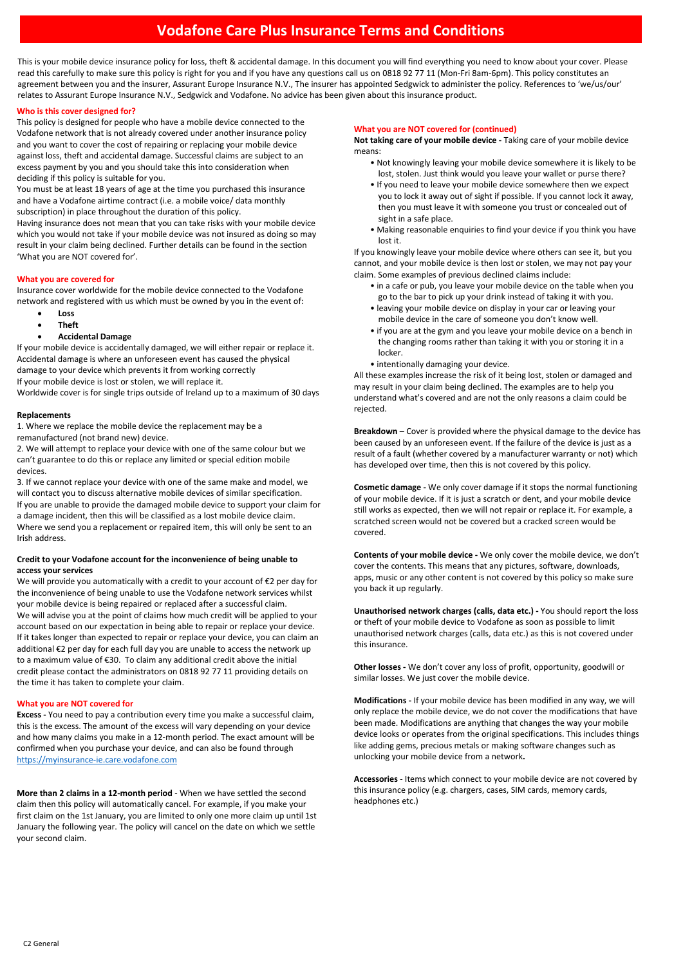# **Vodafone Care Plus Insurance Terms and Conditions**

This is your mobile device insurance policy for loss, theft & accidental damage. In this document you will find everything you need to know about your cover. Please read this carefully to make sure this policy is right for you and if you have any questions call us on 0818 92 77 11 (Mon-Fri 8am-6pm). This policy constitutes an agreement between you and the insurer, Assurant Europe Insurance N.V.. The insurer has appointed Sedgwick to administer the policy. References to 'we/us/our' relates to Assurant Europe Insurance N.V., Sedgwick and Vodafone. No advice has been given about this insurance product.

# **Who is this cover designed for?**

This policy is designed for people who have a mobile device connected to the Vodafone network that is not already covered under another insurance policy and you want to cover the cost of repairing or replacing your mobile device against loss, theft and accidental damage. Successful claims are subject to an excess payment by you and you should take this into consideration when deciding if this policy is suitable for you.

You must be at least 18 years of age at the time you purchased this insurance and have a Vodafone airtime contract (i.e. a mobile voice/ data monthly subscription) in place throughout the duration of this policy.

Having insurance does not mean that you can take risks with your mobile device which you would not take if your mobile device was not insured as doing so may result in your claim being declined. Further details can be found in the section 'What you are NOT covered for'.

# **What you are covered for**

Insurance cover worldwide for the mobile device connected to the Vodafone network and registered with us which must be owned by you in the event of:

- **Loss**
- **Theft**
- **Accidental Damage**

If your mobile device is accidentally damaged, we will either repair or replace it. Accidental damage is where an unforeseen event has caused the physical damage to your device which prevents it from working correctly If your mobile device is lost or stolen, we will replace it.

Worldwide cover is for single trips outside of Ireland up to a maximum of 30 days

# **Replacements**

1. Where we replace the mobile device the replacement may be a remanufactured (not brand new) device.

2. We will attempt to replace your device with one of the same colour but we can't guarantee to do this or replace any limited or special edition mobile devices.

3. If we cannot replace your device with one of the same make and model, we will contact you to discuss alternative mobile devices of similar specification. If you are unable to provide the damaged mobile device to support your claim for a damage incident, then this will be classified as a lost mobile device claim. Where we send you a replacement or repaired item, this will only be sent to an Irish address.

# **Credit to your Vodafone account for the inconvenience of being unable to access your services**

We will provide you automatically with a credit to your account of €2 per day for the inconvenience of being unable to use the Vodafone network services whilst your mobile device is being repaired or replaced after a successful claim. We will advise you at the point of claims how much credit will be applied to your account based on our expectation in being able to repair or replace your device. If it takes longer than expected to repair or replace your device, you can claim an additional €2 per day for each full day you are unable to access the network up to a maximum value of €30. To claim any additional credit above the initial credit please contact the administrators on 0818 92 77 11 providing details on the time it has taken to complete your claim.

# **What you are NOT covered for**

**Excess -** You need to pay a contribution every time you make a successful claim, this is the excess. The amount of the excess will vary depending on your device and how many claims you make in a 12-month period. The exact amount will be confirmed when you purchase your device, and can also be found through [https://myinsurance-ie.care.vodafone.com](https://myinsurance-ie.care.vodafone.com/)

**More than 2 claims in a 12-month period** - When we have settled the second claim then this policy will automatically cancel. For example, if you make your first claim on the 1st January, you are limited to only one more claim up until 1st January the following year. The policy will cancel on the date on which we settle your second claim.

## **What you are NOT covered for (continued)**

**Not taking care of your mobile device -** Taking care of your mobile device means:

- Not knowingly leaving your mobile device somewhere it is likely to be lost, stolen. Just think would you leave your wallet or purse there?
- If you need to leave your mobile device somewhere then we expect you to lock it away out of sight if possible. If you cannot lock it away, then you must leave it with someone you trust or concealed out of sight in a safe place.
- Making reasonable enquiries to find your device if you think you have lost it.

If you knowingly leave your mobile device where others can see it, but you cannot, and your mobile device is then lost or stolen, we may not pay your claim. Some examples of previous declined claims include:

- in a cafe or pub, you leave your mobile device on the table when you go to the bar to pick up your drink instead of taking it with you.
- leaving your mobile device on display in your car or leaving your mobile device in the care of someone you don't know well.
- if you are at the gym and you leave your mobile device on a bench in the changing rooms rather than taking it with you or storing it in a locker.
- intentionally damaging your device.

All these examples increase the risk of it being lost, stolen or damaged and may result in your claim being declined. The examples are to help you understand what's covered and are not the only reasons a claim could be rejected.

**Breakdown –** Cover is provided where the physical damage to the device has been caused by an unforeseen event. If the failure of the device is just as a result of a fault (whether covered by a manufacturer warranty or not) which has developed over time, then this is not covered by this policy.

**Cosmetic damage -** We only cover damage if it stops the normal functioning of your mobile device. If it is just a scratch or dent, and your mobile device still works as expected, then we will not repair or replace it. For example, a scratched screen would not be covered but a cracked screen would be covered.

**Contents of your mobile device -** We only cover the mobile device, we don't cover the contents. This means that any pictures, software, downloads, apps, music or any other content is not covered by this policy so make sure you back it up regularly.

**Unauthorised network charges (calls, data etc.) -** You should report the loss or theft of your mobile device to Vodafone as soon as possible to limit unauthorised network charges (calls, data etc.) as this is not covered under this insurance.

**Other losses -** We don't cover any loss of profit, opportunity, goodwill or similar losses. We just cover the mobile device.

**Modifications -** If your mobile device has been modified in any way, we will only replace the mobile device, we do not cover the modifications that have been made. Modifications are anything that changes the way your mobile device looks or operates from the original specifications. This includes things like adding gems, precious metals or making software changes such as unlocking your mobile device from a network**.**

**Accessories** - Items which connect to your mobile device are not covered by this insurance policy (e.g. chargers, cases, SIM cards, memory cards, headphones etc.)